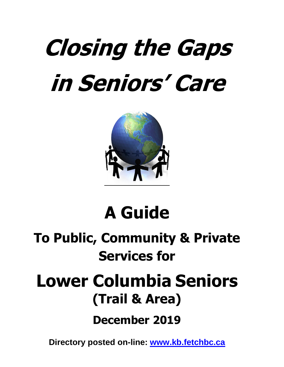# **Closing the Gaps in Seniors' Care**



### **A Guide**

### **To Public, Community & Private Services for**

## **Lower Columbia Seniors (Trail & Area)**

**December 2019**

**Directory posted on-line: [www.kb.fetchbc.ca](http://www.kb.fetchbc.ca/)**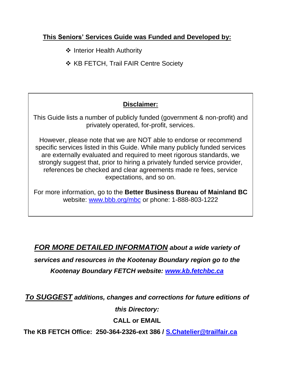#### **This Seniors' Services Guide was Funded and Developed by:**

- ❖ Interior Health Authority
- ❖ KB FETCH, Trail FAIR Centre Society

#### **Disclaimer:**

This Guide lists a number of publicly funded (government & non-profit) and privately operated, for-profit, services.

However, please note that we are NOT able to endorse or recommend specific services listed in this Guide. While many publicly funded services are externally evaluated and required to meet rigorous standards, we strongly suggest that, prior to hiring a privately funded service provider, references be checked and clear agreements made re fees, service expectations, and so on.

 website: [www.bbb.org/mbc](http://www.bbb.org/mbc) or phone: 1-888-803-1222For more information, go to the **Better Business Bureau of Mainland BC**

#### *FOR MORE DETAILED INFORMATION about a wide variety of*

*services and resources in the Kootenay Boundary region go to the* 

*Kootenay Boundary FETCH website: [www.kb.fetchbc.ca](http://www.kb.fetchbc.ca/)*

*To SUGGEST additions, changes and corrections for future editions of* 

*this Directory:*

**CALL or EMAIL**

**The KB FETCH Office: 250-364-2326-ext 386 / [S.Chatelier@trailfair.ca](mailto:S.Chatelier@trailfair.ca)**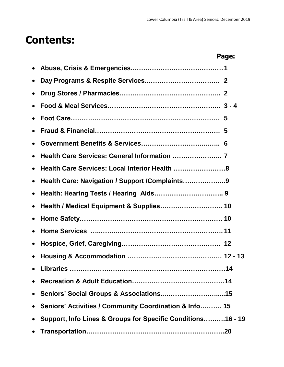#### **Contents:**

|           |                                                             | Page: |
|-----------|-------------------------------------------------------------|-------|
|           |                                                             |       |
| $\bullet$ |                                                             |       |
| $\bullet$ |                                                             |       |
|           |                                                             |       |
|           |                                                             |       |
|           |                                                             |       |
|           |                                                             |       |
| $\bullet$ |                                                             |       |
| $\bullet$ | Health Care Services: Local Interior Health  8              |       |
| $\bullet$ | Health Care: Navigation / Support / Complaints9             |       |
| $\bullet$ |                                                             |       |
| $\bullet$ |                                                             |       |
| $\bullet$ |                                                             |       |
|           |                                                             |       |
| $\bullet$ |                                                             |       |
|           |                                                             |       |
|           |                                                             |       |
|           |                                                             |       |
| $\bullet$ |                                                             |       |
|           | Seniors' Activities / Community Coordination & Info 15      |       |
| $\bullet$ | Support, Info Lines & Groups for Specific Conditions16 - 19 |       |
|           |                                                             |       |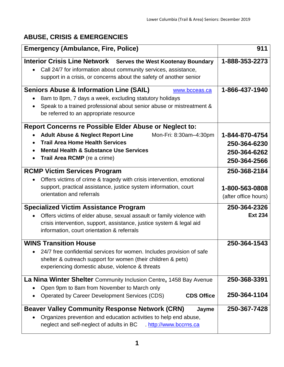#### **ABUSE, CRISIS & EMERGENCIES**

| <b>Emergency (Ambulance, Fire, Police)</b>                                                                                                                                                                                | 911                  |
|---------------------------------------------------------------------------------------------------------------------------------------------------------------------------------------------------------------------------|----------------------|
| <b>Interior Crisis Line Network</b><br><b>Serves the West Kootenay Boundary</b><br>Call 24/7 for information about community services, assistance,<br>support in a crisis, or concerns about the safety of another senior | 1-888-353-2273       |
| <b>Seniors Abuse &amp; Information Line (SAIL)</b><br>www.bcceas.ca<br>8am to 8pm, 7 days a week, excluding statutory holidays                                                                                            | 1-866-437-1940       |
| Speak to a trained professional about senior abuse or mistreatment &<br>be referred to an appropriate resource                                                                                                            |                      |
| <b>Report Concerns re Possible Elder Abuse or Neglect to:</b>                                                                                                                                                             |                      |
| <b>Adult Abuse &amp; Neglect Report Line</b><br>Mon-Fri: 8:30am-4:30pm                                                                                                                                                    | 1-844-870-4754       |
| <b>Trail Area Home Health Services</b>                                                                                                                                                                                    | 250-364-6230         |
| <b>Mental Health &amp; Substance Use Services</b><br>$\bullet$                                                                                                                                                            | 250-364-6262         |
| <b>Trail Area RCMP</b> (re a crime)                                                                                                                                                                                       | 250-364-2566         |
| <b>RCMP Victim Services Program</b>                                                                                                                                                                                       | 250-368-2184         |
| Offers victims of crime & tragedy with crisis intervention, emotional                                                                                                                                                     |                      |
| support, practical assistance, justice system information, court                                                                                                                                                          | 1-800-563-0808       |
| orientation and referrals                                                                                                                                                                                                 | (after office hours) |
| <b>Specialized Victim Assistance Program</b>                                                                                                                                                                              | 250-364-2326         |
| Offers victims of elder abuse, sexual assault or family violence with                                                                                                                                                     | <b>Ext 234</b>       |
| crisis intervention, support, assistance, justice system & legal aid<br>information, court orientation & referrals                                                                                                        |                      |
| <b>WINS Transition House</b>                                                                                                                                                                                              | 250-364-1543         |
| 24/7 free confidential services for women. Includes provision of safe                                                                                                                                                     |                      |
| shelter & outreach support for women (their children & pets)                                                                                                                                                              |                      |
| experiencing domestic abuse, violence & threats                                                                                                                                                                           |                      |
| La Nina Winter Shelter Community Inclusion Centre, 1458 Bay Avenue                                                                                                                                                        | 250-368-3391         |
| Open 9pm to 8am from November to March only                                                                                                                                                                               |                      |
| Operated by Career Development Services (CDS)<br><b>CDS Office</b>                                                                                                                                                        | 250-364-1104         |
| <b>Beaver Valley Community Response Network (CRN)</b><br>Jayme                                                                                                                                                            | 250-367-7428         |
| Organizes prevention and education activities to help end abuse,<br>neglect and self-neglect of adults in BC http://www.bccrns.ca                                                                                         |                      |
|                                                                                                                                                                                                                           |                      |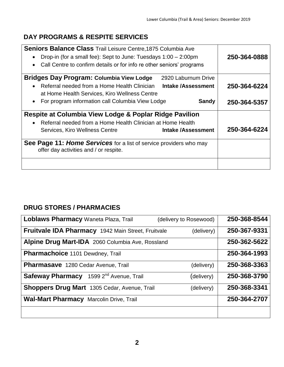#### **DAY PROGRAMS & RESPITE SERVICES**

| Seniors Balance Class Trail Leisure Centre, 1875 Columbia Ave                                                |              |
|--------------------------------------------------------------------------------------------------------------|--------------|
| Drop-in (for a small fee): Sept to June: Tuesdays 1:00 – 2:00pm<br>$\bullet$                                 | 250-364-0888 |
| Call Centre to confirm details or for info re other seniors' programs<br>$\bullet$                           |              |
| <b>Bridges Day Program: Columbia View Lodge</b><br>2920 Laburnum Drive                                       |              |
| Referral needed from a Home Health Clinician<br><b>Intake/Assessment</b><br>$\bullet$                        | 250-364-6224 |
| at Home Health Services, Kiro Wellness Centre                                                                |              |
| For program information call Columbia View Lodge<br><b>Sandy</b><br>$\bullet$                                | 250-364-5357 |
| Respite at Columbia View Lodge & Poplar Ridge Pavilion                                                       |              |
|                                                                                                              |              |
| Referral needed from a Home Health Clinician at Home Health<br>$\bullet$                                     |              |
| <b>Intake /Assessment</b><br>Services, Kiro Wellness Centre                                                  | 250-364-6224 |
| See Page 11: Home Services for a list of service providers who may<br>offer day activities and / or respite. |              |

#### **DRUG STORES / PHARMACIES**

| Loblaws Pharmacy Waneta Plaza, Trail                       | 250-368-8544<br>(delivery to Rosewood) |
|------------------------------------------------------------|----------------------------------------|
| <b>Fruitvale IDA Pharmacy</b> 1942 Main Street, Fruitvale  | 250-367-9331<br>(delivery)             |
| Alpine Drug Mart-IDA 2060 Columbia Ave, Rossland           | 250-362-5622                           |
| <b>Pharmachoice</b> 1101 Dewdney, Trail                    | 250-364-1993                           |
| <b>Pharmasave</b> 1280 Cedar Avenue, Trail                 | 250-368-3363<br>(delivery)             |
| <b>Safeway Pharmacy</b> 1599 2 <sup>nd</sup> Avenue, Trail | 250-368-3790<br>(delivery)             |
| <b>Shoppers Drug Mart</b> 1305 Cedar, Avenue, Trail        | 250-368-3341<br>(delivery)             |
| <b>Wal-Mart Pharmacy Marcolin Drive, Trail</b>             | 250-364-2707                           |
|                                                            |                                        |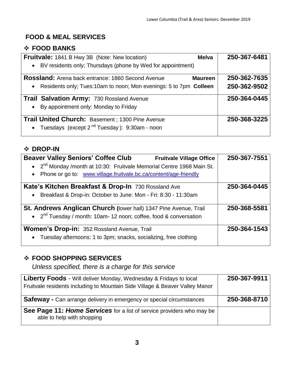#### **FOOD & MEAL SERVICES**

#### **FOOD BANKS**

| <b>Fruitvale:</b> 1841 B Hwy 3B (Note: New location)<br><b>Melva</b>           | 250-367-6481 |
|--------------------------------------------------------------------------------|--------------|
| • BV residents only; Thursdays (phone by Wed for appointment)                  |              |
| <b>Rossland:</b> Arena back entrance: 1860 Second Avenue<br><b>Maureen</b>     | 250-362-7635 |
| Residents only; Tues:10am to noon; Mon evenings: 5 to 7pm Colleen<br>$\bullet$ | 250-362-9502 |
| Trail Salvation Army: 730 Rossland Avenue                                      | 250-364-0445 |
| By appointment only: Monday to Friday<br>$\bullet$                             |              |
| <b>Trail United Church: Basement</b> ; 1300 Pine Avenue                        | 250-368-3225 |
| Tuesdays (except 2 <sup>nd</sup> Tuesday): 9:30am - noon<br>$\bullet$          |              |

#### **DROP-IN**

| <b>Beaver Valley Seniors' Coffee Club</b>                                         | <b>Fruitvale Village Office</b> | 250-367-7551 |
|-----------------------------------------------------------------------------------|---------------------------------|--------------|
| • 2 <sup>nd</sup> Monday /month at 10:30: Fruitvale Memorial Centre 1968 Main St. |                                 |              |
| Phone or go to: www.village.fruitvale.bc.ca/content/age-friendly<br>$\bullet$     |                                 |              |
| Kate's Kitchen Breakfast & Drop-In 730 Rossland Ave                               |                                 | 250-364-0445 |
| Breakfast & Drop-in: October to June: Mon - Fri: 8:30 - 11:30am<br>$\bullet$      |                                 |              |
| St. Andrews Anglican Church (lower hall) 1347 Pine Avenue, Trail                  |                                 | 250-368-5581 |
| • 2 <sup>nd</sup> Tuesday / month: 10am- 12 noon; coffee, food & conversation     |                                 |              |
| <b>Women's Drop-in: 352 Rossland Avenue, Trail</b>                                |                                 | 250-364-1543 |
| Tuesday afternoons: 1 to 3pm; snacks, socializing, free clothing<br>$\bullet$     |                                 |              |

#### **FOOD SHOPPING SERVICES**

*Unless specified, there is a charge for this service*

| <b>Liberty Foods</b> - Will deliver Monday, Wednesday & Fridays to local<br>Fruitvale residents including to Mountain Side Village & Beaver Valley Manor | 250-367-9911 |
|----------------------------------------------------------------------------------------------------------------------------------------------------------|--------------|
| <b>Safeway</b> - Can arrange delivery in emergency or special circumstances                                                                              | 250-368-8710 |
| See Page 11: Home Services for a list of service providers who may be<br>able to help with shopping                                                      |              |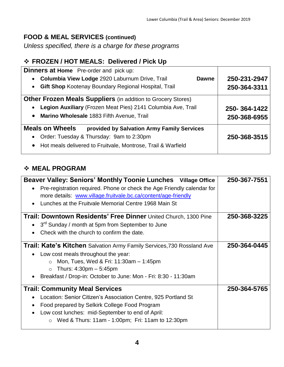#### **FOOD & MEAL SERVICES (continued)**

*Unless specified, there is a charge for these programs*

#### **FROZEN / HOT MEALS: Delivered / Pick Up**

| <b>Dinners at Home</b> Pre-order and pick up:                        |              |
|----------------------------------------------------------------------|--------------|
| <b>Columbia View Lodge 2920 Laburnum Drive, Trail</b><br>Dawne       | 250-231-2947 |
| <b>Gift Shop Kootenay Boundary Regional Hospital, Trail</b>          | 250-364-3311 |
| <b>Other Frozen Meals Suppliers</b> (in addition to Grocery Stores)  |              |
| Legion Auxiliary (Frozen Meat Pies) 2141 Columbia Ave, Trail         | 250-364-1422 |
| • Marino Wholesale 1883 Fifth Avenue, Trail                          | 250-368-6955 |
| <b>Meals on Wheels</b><br>provided by Salvation Army Family Services |              |
| Order: Tuesday & Thursday: 9am to 2:30pm<br>$\bullet$                | 250-368-3515 |
| • Hot meals delivered to Fruitvale, Montrose, Trail & Warfield       |              |

#### **MEAL PROGRAM**

| Beaver Valley: Seniors' Monthly Toonie Lunches Village Office                        | 250-367-7551 |
|--------------------------------------------------------------------------------------|--------------|
| Pre-registration required. Phone or check the Age Friendly calendar for<br>$\bullet$ |              |
| more details: www.village.fruitvale.bc.ca/content/age-friendly                       |              |
| Lunches at the Fruitvale Memorial Centre 1968 Main St<br>$\bullet$                   |              |
| <b>Trail: Downtown Residents' Free Dinner United Church, 1300 Pine</b>               | 250-368-3225 |
| 3 <sup>rd</sup> Sunday / month at 5pm from September to June<br>$\bullet$            |              |
| Check with the church to confirm the date.<br>$\bullet$                              |              |
| <b>Trail: Kate's Kitchen</b> Salvation Army Family Services, 730 Rossland Ave        | 250-364-0445 |
| Low cost meals throughout the year:                                                  |              |
| Mon, Tues, Wed & Fri: 11:30am - 1:45pm<br>$\circ$                                    |              |
| Thurs: $4:30 \text{pm} - 5:45 \text{pm}$<br>$\circ$                                  |              |
| Breakfast / Drop-in: October to June: Mon - Fri: 8:30 - 11:30am                      |              |
| <b>Trail: Community Meal Services</b>                                                | 250-364-5765 |
| Location: Senior Citizen's Association Centre, 925 Portland St<br>$\bullet$          |              |
| Food prepared by Selkirk College Food Program                                        |              |
| Low cost lunches: mid-September to end of April:                                     |              |
| Wed & Thurs: 11am - 1:00pm; Fri: 11am to 12:30pm<br>$\circ$                          |              |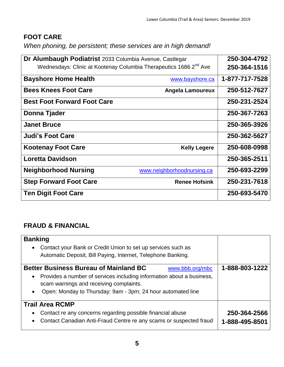#### **FOOT CARE**

*When phoning, be persistent; these services are in high demand!*

| Dr Alumbaugh Podiatrist 2033 Columbia Avenue, Castlegar                       |                            | 250-304-4792   |
|-------------------------------------------------------------------------------|----------------------------|----------------|
| Wednesdays: Clinic at Kootenay Columbia Therapeutics 1686 2 <sup>nd</sup> Ave |                            | 250-364-1516   |
| <b>Bayshore Home Health</b>                                                   | www.bayshore.ca            | 1-877-717-7528 |
| <b>Bees Knees Foot Care</b>                                                   | <b>Angela Lamoureux</b>    | 250-512-7627   |
| <b>Best Foot Forward Foot Care</b>                                            |                            | 250-231-2524   |
| Donna Tjader                                                                  |                            | 250-367-7263   |
| <b>Janet Bruce</b>                                                            |                            | 250-365-3926   |
| <b>Judi's Foot Care</b>                                                       |                            | 250-362-5627   |
| <b>Kootenay Foot Care</b>                                                     | <b>Kelly Legere</b>        | 250-608-0998   |
| <b>Loretta Davidson</b>                                                       |                            | 250-365-2511   |
| <b>Neighborhood Nursing</b>                                                   | www.neighborhoodnursing.ca | 250-693-2299   |
| <b>Step Forward Foot Care</b>                                                 | <b>Renee Hofsink</b>       | 250-231-7618   |
| <b>Ten Digit Foot Care</b>                                                    |                            | 250-693-5470   |

#### **FRAUD & FINANCIAL**

| <b>Banking</b>                                                                                                                                             |                                |
|------------------------------------------------------------------------------------------------------------------------------------------------------------|--------------------------------|
| Contact your Bank or Credit Union to set up services such as<br>$\bullet$                                                                                  |                                |
| Automatic Deposit, Bill Paying, Internet, Telephone Banking.                                                                                               |                                |
| <b>Better Business Bureau of Mainland BC</b><br>www.bbb.org/mbc                                                                                            | 1-888-803-1222                 |
| Provides a number of services including information about a business,<br>$\bullet$<br>scam warnings and receiving complaints.                              |                                |
| Open: Monday to Thursday: 9am - 3pm; 24 hour automated line<br>$\bullet$                                                                                   |                                |
| <b>Trail Area RCMP</b>                                                                                                                                     |                                |
| Contact re any concerns regarding possible financial abuse<br>$\bullet$<br>Contact Canadian Anti-Fraud Centre re any scams or suspected fraud<br>$\bullet$ | 250-364-2566<br>1-888-495-8501 |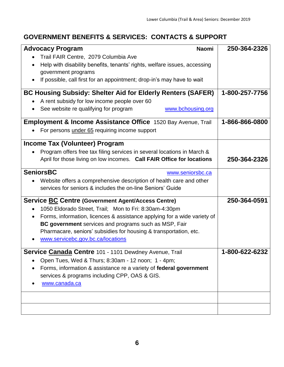#### **GOVERNMENT BENEFITS & SERVICES: CONTACTS & SUPPORT**

| <b>Advocacy Program</b><br><b>Naomi</b>                                               | 250-364-2326   |
|---------------------------------------------------------------------------------------|----------------|
| Trail FAIR Centre, 2079 Columbia Ave                                                  |                |
| Help with disability benefits, tenants' rights, welfare issues, accessing             |                |
| government programs                                                                   |                |
| If possible, call first for an appointment; drop-in's may have to wait                |                |
|                                                                                       |                |
| <b>BC Housing Subsidy: Shelter Aid for Elderly Renters (SAFER)</b>                    | 1-800-257-7756 |
| A rent subsidy for low income people over 60                                          |                |
| See website re qualifying for program<br>www.bchousing.org                            |                |
| <b>Employment &amp; Income Assistance Office</b> 1520 Bay Avenue, Trail               | 1-866-866-0800 |
| For persons under 65 requiring income support                                         |                |
| <b>Income Tax (Volunteer) Program</b>                                                 |                |
| Program offers free tax filing services in several locations in March &               |                |
| April for those living on low incomes. Call FAIR Office for locations                 | 250-364-2326   |
| <b>SeniorsBC</b><br>www.seniorsbc.ca                                                  |                |
| Website offers a comprehensive description of health care and other                   |                |
| services for seniors & includes the on-line Seniors' Guide                            |                |
|                                                                                       |                |
| <b>Service BC Centre (Government Agent/Access Centre)</b>                             | 250-364-0591   |
| 1050 Eldorado Street, Trail; Mon to Fri: 8:30am-4:30pm<br>$\bullet$                   |                |
| Forms, information, licences & assistance applying for a wide variety of<br>$\bullet$ |                |
| BC government services and programs such as MSP, Fair                                 |                |
| Pharmacare, seniors' subsidies for housing & transportation, etc.                     |                |
| www.servicebc.gov.bc.ca/locations                                                     |                |
| Service Canada Centre 101 - 1101 Dewdney Avenue, Trail                                | 1-800-622-6232 |
| Open Tues, Wed & Thurs; 8:30am - 12 noon; 1 - 4pm;                                    |                |
| Forms, information & assistance re a variety of federal government                    |                |
| services & programs including CPP, OAS & GIS.                                         |                |
| www.canada.ca                                                                         |                |
|                                                                                       |                |
|                                                                                       |                |
|                                                                                       |                |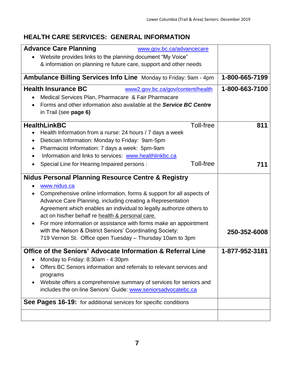#### **HEALTH CARE SERVICES: GENERAL INFORMATION**

| <b>Advance Care Planning</b><br>www.gov.bc.ca/advancecare                                                              |                |
|------------------------------------------------------------------------------------------------------------------------|----------------|
| Website provides links to the planning document "My Voice"                                                             |                |
| & information on planning re future care, support and other needs                                                      |                |
| Ambulance Billing Services Info Line Monday to Friday: 9am - 4pm                                                       | 1-800-665-7199 |
| <b>Health Insurance BC</b><br>www2.gov.bc.ca/gov/content/health                                                        | 1-800-663-7100 |
| Medical Services Plan, Pharmacare & Fair Pharmacare                                                                    |                |
| Forms and other information also available at the <b>Service BC Centre</b>                                             |                |
| in Trail (see page 6)                                                                                                  |                |
| <b>HealthLinkBC</b><br>Toll-free                                                                                       | 811            |
| Health Information from a nurse: 24 hours / 7 days a week                                                              |                |
| Dietician Information: Monday to Friday: 9am-5pm                                                                       |                |
| Pharmacist Information: 7 days a week: 5pm-9am                                                                         |                |
| Information and links to services: www.healthlinkbc.ca                                                                 |                |
| <b>Toll-free</b><br>Special Line for Hearing Impaired persons :                                                        | 711            |
| <b>Nidus Personal Planning Resource Centre &amp; Registry</b>                                                          |                |
| www.nidus.ca                                                                                                           |                |
| Comprehensive online information, forms & support for all aspects of                                                   |                |
| Advance Care Planning, including creating a Representation                                                             |                |
| Agreement which enables an individual to legally authorize others to                                                   |                |
| act on his/her behalf re health & personal care.                                                                       |                |
| For more information or assistance with forms make an appointment                                                      |                |
| with the Nelson & District Seniors' Coordinating Society:<br>719 Vernon St. Office open Tuesday - Thursday 10am to 3pm | 250-352-6008   |
|                                                                                                                        |                |
| Office of the Seniors' Advocate Information & Referral Line                                                            | 1-877-952-3181 |
| Monday to Friday: 8:30am - 4:30pm                                                                                      |                |
| Offers BC Seniors information and referrals to relevant services and                                                   |                |
| programs                                                                                                               |                |
| Website offers a comprehensive summary of services for seniors and                                                     |                |
| includes the on-line Seniors' Guide: www.seniorsadvocatebc.ca                                                          |                |
| See Pages 16-19: for additional services for specific conditions                                                       |                |
|                                                                                                                        |                |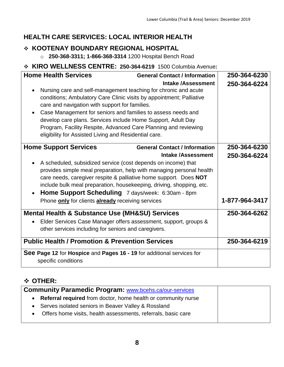#### **HEALTH CARE SERVICES: LOCAL INTERIOR HEALTH**

#### **KOOTENAY BOUNDARY REGIONAL HOSPITAL**

o **250-368-3311; 1-866-368-3314** 1200 Hospital Bench Road

#### **KIRO WELLNESS CENTRE: 250-364-6219** 1500 Columbia Avenue**:**

| <b>Home Health Services</b><br>Nursing care and self-management teaching for chronic and acute<br>conditions; Ambulatory Care Clinic visits by appointment; Palliative<br>care and navigation with support for families.<br>Case Management for seniors and families to assess needs and<br>develop care plans. Services include Home Support, Adult Day<br>Program, Facility Respite, Advanced Care Planning and reviewing<br>eligibility for Assisted Living and Residential care. | <b>General Contact / Information</b><br><b>Intake /Assessment</b> | 250-364-6230<br>250-364-6224<br>250-364-6230 |
|--------------------------------------------------------------------------------------------------------------------------------------------------------------------------------------------------------------------------------------------------------------------------------------------------------------------------------------------------------------------------------------------------------------------------------------------------------------------------------------|-------------------------------------------------------------------|----------------------------------------------|
| <b>Home Support Services</b><br>A scheduled, subsidized service (cost depends on income) that<br>provides simple meal preparation, help with managing personal health<br>care needs, caregiver respite & palliative home support. Does NOT<br>include bulk meal preparation, housekeeping, driving, shopping, etc.<br>Home Support Scheduling 7 days/week: 6:30am - 8pm<br>Phone only for clients already receiving services                                                         | <b>General Contact / Information</b><br><b>Intake /Assessment</b> | 250-364-6224<br>1-877-964-3417               |
| <b>Mental Health &amp; Substance Use (MH&amp;SU) Services</b><br>Elder Services Case Manager offers assessment, support, groups &<br>other services including for seniors and caregivers.                                                                                                                                                                                                                                                                                            |                                                                   | 250-364-6262                                 |
| <b>Public Health / Promotion &amp; Prevention Services</b>                                                                                                                                                                                                                                                                                                                                                                                                                           |                                                                   | 250-364-6219                                 |
| See Page 12 for Hospice and Pages 16 - 19 for additional services for<br>specific conditions                                                                                                                                                                                                                                                                                                                                                                                         |                                                                   |                                              |

#### **OTHER:**

| <b>Community Paramedic Program: www.bcehs.ca/our-services</b>   |  |
|-----------------------------------------------------------------|--|
| • Referral required from doctor, home health or community nurse |  |
| • Serves isolated seniors in Beaver Valley & Rossland           |  |
| • Offers home visits, health assessments, referrals, basic care |  |
|                                                                 |  |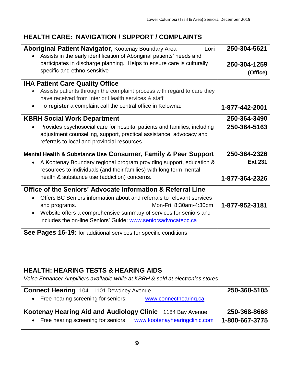#### **HEALTH CARE: NAVIGATION / SUPPORT / COMPLAINTS**

| <b>Aboriginal Patient Navigator, Kootenay Boundary Area</b><br>Lori                                                                                                                                                                                                                | 250-304-5621             |
|------------------------------------------------------------------------------------------------------------------------------------------------------------------------------------------------------------------------------------------------------------------------------------|--------------------------|
| Assists in the early identification of Aboriginal patients' needs and<br>participates in discharge planning. Helps to ensure care is culturally<br>specific and ethno-sensitive                                                                                                    | 250-304-1259<br>(Office) |
| <b>IHA Patient Care Quality Office</b>                                                                                                                                                                                                                                             |                          |
| Assists patients through the complaint process with regard to care they<br>have received from Interior Health services & staff                                                                                                                                                     |                          |
| To register a complaint call the central office in Kelowna:<br>$\bullet$                                                                                                                                                                                                           | 1-877-442-2001           |
| <b>KBRH Social Work Department</b>                                                                                                                                                                                                                                                 | 250-364-3490             |
| Provides psychosocial care for hospital patients and families, including<br>adjustment counselling, support, practical assistance, advocacy and<br>referrals to local and provincial resources.                                                                                    | 250-364-5163             |
| Mental Health & Substance Use Consumer, Family & Peer Support                                                                                                                                                                                                                      | 250-364-2326             |
| A Kootenay Boundary regional program providing support, education &<br>$\bullet$<br>resources to individuals (and their families) with long term mental                                                                                                                            | <b>Ext 231</b>           |
| health & substance use (addiction) concerns.                                                                                                                                                                                                                                       | 1-877-364-2326           |
| Office of the Seniors' Advocate Information & Referral Line                                                                                                                                                                                                                        |                          |
| Offers BC Seniors information about and referrals to relevant services<br>$\bullet$<br>and programs.<br>Mon-Fri: 8:30am-4:30pm<br>Website offers a comprehensive summary of services for seniors and<br>$\bullet$<br>includes the on-line Seniors' Guide: www.seniorsadvocatebc.ca | 1-877-952-3181           |
| See Pages 16-19: for additional services for specific conditions                                                                                                                                                                                                                   |                          |

#### **HEALTH: HEARING TESTS & HEARING AIDS**

*Voice Enhancer Amplifiers available while at KBRH & sold at electronics stores*

| <b>Connect Hearing 104 - 1101 Dewdney Avenue</b><br>• Free hearing screening for seniors;<br>www.connecthearing.ca                 | 250-368-5105                   |
|------------------------------------------------------------------------------------------------------------------------------------|--------------------------------|
| Kootenay Hearing Aid and Audiology Clinic 1184 Bay Avenue<br>• Free hearing screening for seniors<br>www.kootenayhearingclinic.com | 250-368-8668<br>1-800-667-3775 |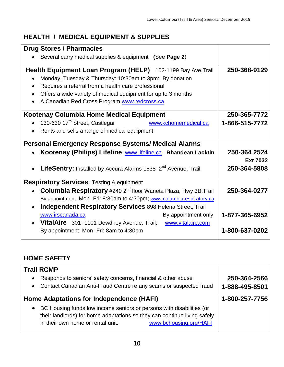#### **HEALTH / MEDICAL EQUIPMENT & SUPPLIES**

| <b>Drug Stores / Pharmacies</b>                                                                                                                                                                                                                                                                 |                                 |
|-------------------------------------------------------------------------------------------------------------------------------------------------------------------------------------------------------------------------------------------------------------------------------------------------|---------------------------------|
| Several carry medical supplies & equipment (See Page 2)                                                                                                                                                                                                                                         |                                 |
| Health Equipment Loan Program (HELP) 102-1199 Bay Ave, Trail<br>Monday, Tuesday & Thursday: 10:30am to 3pm; By donation<br>Requires a referral from a health care professional<br>Offers a wide variety of medical equipment for up to 3 months<br>A Canadian Red Cross Program www.redcross.ca | 250-368-9129                    |
| Kootenay Columbia Home Medical Equipment                                                                                                                                                                                                                                                        | 250-365-7772                    |
| 130-630 17 <sup>th</sup> Street, Castlegar<br>www.kchomemedical.ca                                                                                                                                                                                                                              | 1-866-515-7772                  |
| Rents and sells a range of medical equipment                                                                                                                                                                                                                                                    |                                 |
| <b>Personal Emergency Response Systems/ Medical Alarms</b>                                                                                                                                                                                                                                      |                                 |
| Kootenay (Philips) Lifeline www.lifeline.ca Rhandean Lacktin                                                                                                                                                                                                                                    | 250-364 2524                    |
| LifeSentry: Installed by Accura Alarms 1638 2 <sup>nd</sup> Avenue, Trail                                                                                                                                                                                                                       | <b>Ext 7032</b><br>250-364-5808 |
| <b>Respiratory Services: Testing &amp; equipment</b>                                                                                                                                                                                                                                            |                                 |
| Columbia Respiratory #240 2 <sup>nd</sup> floor Waneta Plaza, Hwy 3B, Trail                                                                                                                                                                                                                     | 250-364-0277                    |
| By appointment: Mon- Fri: 8:30am to 4:30pm; www.columbiarespiratory.ca                                                                                                                                                                                                                          |                                 |
| <b>Independent Respiratory Services 898 Helena Street, Trail</b><br>$\bullet$                                                                                                                                                                                                                   |                                 |
| www.irscanada.ca<br>By appointment only                                                                                                                                                                                                                                                         | 1-877-365-6952                  |
| <b>VitalAire</b> 301-1101 Dewdney Avenue, Trail; www.vitalaire.com                                                                                                                                                                                                                              |                                 |
| By appointment: Mon- Fri: 8am to 4:30pm                                                                                                                                                                                                                                                         | 1-800-637-0202                  |
|                                                                                                                                                                                                                                                                                                 |                                 |

#### **HOME SAFETY**

| <b>Trail RCMP</b><br>Responds to seniors' safety concerns, financial & other abuse<br>$\bullet$<br>• Contact Canadian Anti-Fraud Centre re any scams or suspected fraud                                                      | 250-364-2566<br>1-888-495-8501 |
|------------------------------------------------------------------------------------------------------------------------------------------------------------------------------------------------------------------------------|--------------------------------|
| Home Adaptations for Independence (HAFI)                                                                                                                                                                                     | 1-800-257-7756                 |
| BC Housing funds low income seniors or persons with disabilities (or<br>$\bullet$<br>their landlords) for home adaptations so they can continue living safely<br>www.bchousing.org/HAFI<br>in their own home or rental unit. |                                |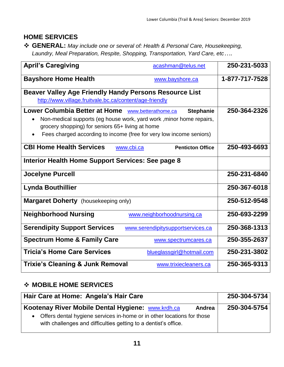#### **HOME SERVICES**

 **GENERAL:** *May include one or several of: Health & Personal Care, Housekeeping, Laundry, Meal Preparation, Respite, Shopping, Transportation, Yard Care, etc….*

| <b>April's Caregiving</b>                                                                                                                                                                                                                                        | acashman@telus.net                | 250-231-5033   |
|------------------------------------------------------------------------------------------------------------------------------------------------------------------------------------------------------------------------------------------------------------------|-----------------------------------|----------------|
| <b>Bayshore Home Health</b>                                                                                                                                                                                                                                      | www.bayshore.ca                   | 1-877-717-7528 |
| <b>Beaver Valley Age Friendly Handy Persons Resource List</b><br>http://www.village.fruitvale.bc.ca/content/age-friendly                                                                                                                                         |                                   |                |
| Lower Columbia Better at Home www.betterathome.ca<br>Non-medical supports (eg house work, yard work, minor home repairs,<br>$\bullet$<br>grocery shopping) for seniors 65+ living at home<br>Fees charged according to income (free for very low income seniors) | <b>Stephanie</b>                  | 250-364-2326   |
| <b>CBI Home Health Services</b><br>www.cbi.ca<br>Interior Health Home Support Services: See page 8                                                                                                                                                               | <b>Penticton Office</b>           | 250-493-6693   |
| <b>Jocelyne Purcell</b>                                                                                                                                                                                                                                          |                                   | 250-231-6840   |
| <b>Lynda Bouthillier</b>                                                                                                                                                                                                                                         |                                   | 250-367-6018   |
| <b>Margaret Doherty</b> (housekeeping only)                                                                                                                                                                                                                      |                                   | 250-512-9548   |
| <b>Neighborhood Nursing</b>                                                                                                                                                                                                                                      | www.neighborhoodnursing.ca        | 250-693-2299   |
| <b>Serendipity Support Services</b>                                                                                                                                                                                                                              | www.serendipitysupportservices.ca | 250-368-1313   |
| <b>Spectrum Home &amp; Family Care</b>                                                                                                                                                                                                                           | www.spectrumcares.ca              | 250-355-2637   |
| <b>Tricia's Home Care Services</b>                                                                                                                                                                                                                               | blueglassgirl@hotmail.com         | 250-231-3802   |
| <b>Trixie's Cleaning &amp; Junk Removal</b>                                                                                                                                                                                                                      | www.trixiecleaners.ca             | 250-365-9313   |

#### **MOBILE HOME SERVICES**

| Hair Care at Home: Angela's Hair Care                                                                                                       | 250-304-5734 |
|---------------------------------------------------------------------------------------------------------------------------------------------|--------------|
| Kootenay River Mobile Dental Hygiene: www.krdh.ca<br>Andrea                                                                                 | 250-304-5754 |
| • Offers dental hygiene services in-home or in other locations for those<br>with challenges and difficulties getting to a dentist's office. |              |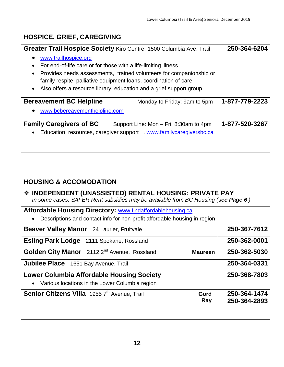#### **HOSPICE, GRIEF, CAREGIVING**

| Greater Trail Hospice Society Kiro Centre, 1500 Columbia Ave, Trail                                                                                                                                                                                                                                                                                          | 250-364-6204   |
|--------------------------------------------------------------------------------------------------------------------------------------------------------------------------------------------------------------------------------------------------------------------------------------------------------------------------------------------------------------|----------------|
| www.trailhospice.org<br>$\bullet$<br>For end-of-life care or for those with a life-limiting illness<br>$\bullet$<br>Provides needs assessments, trained volunteers for companionship or<br>$\bullet$<br>family respite, palliative equipment loans, coordination of care<br>Also offers a resource library, education and a grief support group<br>$\bullet$ |                |
| <b>Bereavement BC Helpline</b><br>Monday to Friday: 9am to 5pm                                                                                                                                                                                                                                                                                               | 1-877-779-2223 |
| www.bcbereavementhelpline.com<br>$\bullet$                                                                                                                                                                                                                                                                                                                   |                |
| <b>Family Caregivers of BC</b><br>Support Line: Mon - Fri: 8:30am to 4pm                                                                                                                                                                                                                                                                                     | 1-877-520-3267 |
| Education, resources, caregiver support www.familycaregiversbc.ca<br>$\bullet$                                                                                                                                                                                                                                                                               |                |
|                                                                                                                                                                                                                                                                                                                                                              |                |

#### **HOUSING & ACCOMODATION**

#### **INDEPENDENT (UNASSISTED) RENTAL HOUSING; PRIVATE PAY**

*In some cases, SAFER Rent subsidies may be available from BC Housing (see Page 6 )*

| Affordable Housing Directory: www.findaffordablehousing.ca                             |              |
|----------------------------------------------------------------------------------------|--------------|
| Descriptions and contact info for non-profit affordable housing in region<br>$\bullet$ |              |
| <b>Beaver Valley Manor</b> 24 Laurier, Fruitvale                                       | 250-367-7612 |
| <b>Esling Park Lodge</b> 2111 Spokane, Rossland                                        | 250-362-0001 |
| Golden City Manor 2112 2 <sup>nd</sup> Avenue, Rossland<br><b>Maureen</b>              | 250-362-5030 |
| <b>Jubilee Place</b> 1651 Bay Avenue, Trail                                            | 250-364-0331 |
| Lower Columbia Affordable Housing Society                                              | 250-368-7803 |
| • Various locations in the Lower Columbia region                                       |              |
| Senior Citizens Villa 1955 7th Avenue, Trail<br>Gord                                   | 250-364-1474 |
| Ray                                                                                    | 250-364-2893 |
|                                                                                        |              |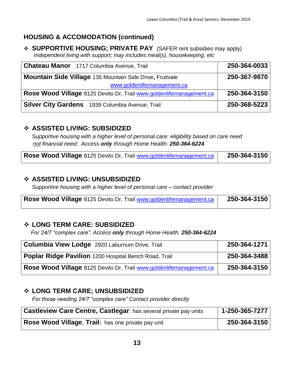#### **HOUSING & ACCOMODATION (continued)**

 **SUPPORTIVE HOUSING; PRIVATE PAY** (SAFER rent subsidies may apply) *Independent living with support; may includes meal(s), housekeeping, etc* 

| <b>Chateau Manor</b> 1717 Columbia Avenue, Trail                    | 250-364-0033 |
|---------------------------------------------------------------------|--------------|
| <b>Mountain Side Village 135 Mountain Side Drive, Fruitvale</b>     | 250-367-9870 |
| www.goldenlifemanagement.ca                                         |              |
| Rose Wood Village 8125 Devito Dr, Trail www.goldenlifemanagement.ca | 250-364-3150 |
| Silver City Gardens 1939 Columbia Avenue, Trail                     | 250-368-5223 |

#### **ASSISTED LIVING: SUBSIDIZED**

*Supportive housing with a higher level of personal care: eligibility based on care need not financial need; Access only through Home Health: 250-364-6224*

| Rose Wood Village 8125 Devito Dr, Trail www.goldenlifemanagement.ca |  | 250-364-3150 |
|---------------------------------------------------------------------|--|--------------|
|---------------------------------------------------------------------|--|--------------|

#### **ASSISTED LIVING: UNSUBSIDIZED**

*Supportive housing with a higher level of personal care – contact provider*

| Rose Wood Village 8125 Devito Dr, Trail www.goldenlifemanagement.ca | 250-364-3150 |
|---------------------------------------------------------------------|--------------|
|                                                                     |              |

#### **LONG TERM CARE: SUBSIDIZED**

 *For 24/7 "complex care": Access only through Home Health: 250-364-6224*

| <b>Columbia View Lodge</b> 2920 Laburnum Drive, Trail               | 250-364-1271 |
|---------------------------------------------------------------------|--------------|
| Poplar Ridge Pavilion 1200 Hospital Bench Road, Trail               | 250-364-3488 |
| Rose Wood Village 8125 Devito Dr, Trail www.goldenlifemanagement.ca | 250-364-3150 |

#### **LONG TERM CARE; UNSUBSIDIZED**

*For those needing 24/7 "complex care" Contact provider directly*

| <b>Castleview Care Centre, Castlegar:</b> has several private pay units | 1-250-365-7277 |
|-------------------------------------------------------------------------|----------------|
| Rose Wood Village, Trail: has one private pay unit                      | 250-364-3150   |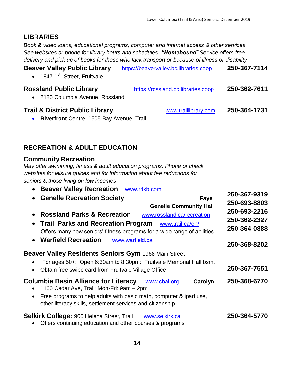#### **LIBRARIES**

*Book & video loans, educational programs, computer and internet access & other services. See websites or phone for library hours and schedules. "Homebound" Service offers free delivery and pick up of books for those who lack transport or because of illness or disability*

| <b>Beaver Valley Public Library</b>                    | https://beavervalley.bc.libraries.coop | 250-367-7114 |
|--------------------------------------------------------|----------------------------------------|--------------|
| • 1847 $1^{ST}$ Street, Fruitvale                      |                                        |              |
| <b>Rossland Public Library</b>                         | https://rossland.bc.libraries.coop     | 250-362-7611 |
| • 2180 Columbia Avenue, Rossland                       |                                        |              |
| <b>Trail &amp; District Public Library</b>             | www.traillibrary.com                   | 250-364-1731 |
| Riverfront Centre, 1505 Bay Avenue, Trail<br>$\bullet$ |                                        |              |

#### **RECREATION & ADULT EDUCATION**

| <b>Community Recreation</b>                                                     |              |
|---------------------------------------------------------------------------------|--------------|
| May offer swimming, fitness & adult education programs. Phone or check          |              |
| websites for leisure guides and for information about fee reductions for        |              |
| seniors & those living on low incomes.                                          |              |
| <b>Beaver Valley Recreation</b><br>www.rdkb.com<br>$\bullet$                    |              |
| <b>Genelle Recreation Society</b><br>Faye<br>$\bullet$                          | 250-367-9319 |
| <b>Genelle Community Hall</b>                                                   | 250-693-8803 |
| <b>Rossland Parks &amp; Recreation</b><br>www.rossland.ca/recreation            | 250-693-2216 |
|                                                                                 | 250-362-2327 |
| <b>Trail Parks and Recreation Program</b> www.trail.ca/en/                      | 250-364-0888 |
| Offers many new seniors' fitness programs for a wide range of abilities         |              |
| <b>Warfield Recreation</b><br>www.warfield.ca<br>$\bullet$                      | 250-368-8202 |
| <b>Beaver Valley Residents Seniors Gym 1968 Main Street</b>                     |              |
| For ages 50+; Open 6:30am to 8:30pm; Fruitvale Memorial Hall bsmt               |              |
| Obtain free swipe card from Fruitvale Village Office                            | 250-367-7551 |
| <b>Columbia Basin Alliance for Literacy</b><br>Carolyn<br>www.cbal.org          | 250-368-6770 |
| 1160 Cedar Ave, Trail; Mon-Fri: 9am - 2pm                                       |              |
| Free programs to help adults with basic math, computer & ipad use,<br>$\bullet$ |              |
| other literacy skills, settlement services and citizenship                      |              |
| <b>Selkirk College: 900 Helena Street, Trail</b><br>www.selkirk.ca              | 250-364-5770 |
| Offers continuing education and other courses & programs                        |              |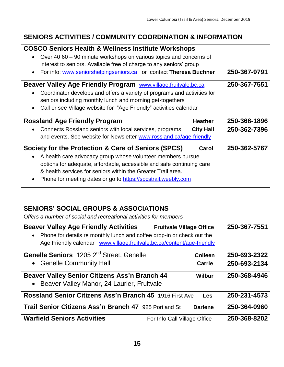#### **SENIORS ACTIVITIES / COMMUNITY COORDINATION & INFORMATION**

| <b>COSCO Seniors Health &amp; Wellness Institute Workshops</b>                           |              |
|------------------------------------------------------------------------------------------|--------------|
| Over 40 60 – 90 minute workshops on various topics and concerns of<br>$\bullet$          |              |
| interest to seniors. Available free of charge to any seniors' group                      |              |
| For info: www.seniorshelpingseniors.ca or contact Theresa Buchner<br>$\bullet$           | 250-367-9791 |
| Beaver Valley Age Friendly Program www.village.fruitvale.bc.ca                           | 250-367-7551 |
| Coordinator develops and offers a variety of programs and activities for<br>$\bullet$    |              |
| seniors including monthly lunch and morning get-togethers                                |              |
| Call or see Village website for "Age Friendly" activities calendar<br>$\bullet$          |              |
| <b>Rossland Age Friendly Program</b><br><b>Heather</b>                                   | 250-368-1896 |
| <b>City Hall</b><br>Connects Rossland seniors with local services, programs<br>$\bullet$ | 250-362-7396 |
| and events. See website for Newsletter www.rossland.ca/age-friendly                      |              |
| Society for the Protection & Care of Seniors (SPCS)<br>Carol                             | 250-362-5767 |
| A health care advocacy group whose volunteer members pursue<br>$\bullet$                 |              |
| options for adequate, affordable, accessible and safe continuing care                    |              |
| & health services for seniors within the Greater Trail area.                             |              |
|                                                                                          |              |

#### **SENIORS' SOCIAL GROUPS & ASSOCIATIONS**

O*ffers a number of social and recreational activities for members*

| <b>Beaver Valley Age Friendly Activities</b><br>• Phone for details re monthly lunch and coffee drop-in or check out the<br>Age Friendly calendar www.village.fruitvale.bc.ca/content/age-friendly | <b>Fruitvale Village Office</b> | 250-367-7551 |
|----------------------------------------------------------------------------------------------------------------------------------------------------------------------------------------------------|---------------------------------|--------------|
| Genelle Seniors 1205 2 <sup>nd</sup> Street, Genelle                                                                                                                                               | <b>Colleen</b>                  | 250-693-2322 |
| • Genelle Community Hall                                                                                                                                                                           | <b>Carrie</b>                   | 250-693-2134 |
| <b>Beaver Valley Senior Citizens Ass'n Branch 44</b><br>• Beaver Valley Manor, 24 Laurier, Fruitvale                                                                                               | <b>Wilbur</b>                   | 250-368-4946 |
| <b>Rossland Senior Citizens Ass'n Branch 45 1916 First Ave</b>                                                                                                                                     | Les                             | 250-231-4573 |
| <b>Trail Senior Citizens Ass'n Branch 47 925 Portland St</b>                                                                                                                                       | <b>Darlene</b>                  | 250-364-0960 |
| <b>Warfield Seniors Activities</b>                                                                                                                                                                 | For Info Call Village Office    | 250-368-8202 |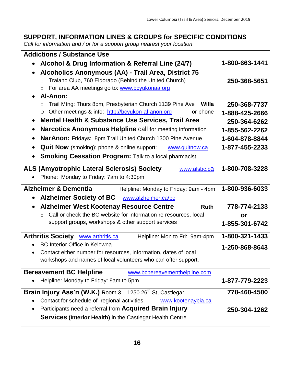| <b>Addictions / Substance Use</b>                                                                                                                                                                                                                                                                                                                                                                                                                                                                                     |                                                                                                      |
|-----------------------------------------------------------------------------------------------------------------------------------------------------------------------------------------------------------------------------------------------------------------------------------------------------------------------------------------------------------------------------------------------------------------------------------------------------------------------------------------------------------------------|------------------------------------------------------------------------------------------------------|
| Alcohol & Drug Information & Referral Line (24/7)                                                                                                                                                                                                                                                                                                                                                                                                                                                                     | 1-800-663-1441                                                                                       |
| Alcoholics Anonymous (AA) - Trail Area, District 75<br>$\bullet$<br>Tralano Club, 760 Eldorado (Behind the United Church)<br>$\circ$<br>For area AA meetings go to: www.bcyukonaa.org<br>$\circ$<br><b>Al-Anon:</b><br>$\bullet$                                                                                                                                                                                                                                                                                      | 250-368-5651                                                                                         |
| Trail Mtng: Thurs 8pm, Presbyterian Church 1139 Pine Ave<br>Willa<br>Other meetings & info: http://bcyukon-al-anon.org<br>or phone<br>$\bigcirc$<br><b>Mental Health &amp; Substance Use Services, Trail Area</b><br>$\bullet$<br><b>Narcotics Anonymous Helpline call for meeting information</b><br>$\bullet$<br>NarAnon: Fridays: 8pm Trail United Church 1300 Pine Avenue<br><b>Quit Now</b> (smoking): phone & online support:<br>www.quitnow.ca<br><b>Smoking Cessation Program: Talk to a local pharmacist</b> | 250-368-7737<br>1-888-425-2666<br>250-364-6262<br>1-855-562-2262<br>1-604-878-8844<br>1-877-455-2233 |
| <b>ALS (Amyotrophic Lateral Sclerosis) Society</b><br>www.alsbc.ca<br>Phone: Monday to Friday: 7am to 4:30pm                                                                                                                                                                                                                                                                                                                                                                                                          | 1-800-708-3228                                                                                       |
| <b>Alzheimer &amp; Dementia</b><br>Helpline: Monday to Friday: 9am - 4pm<br><b>Alzheimer Society of BC</b><br>www.alzheimer.ca/bc<br>$\bullet$                                                                                                                                                                                                                                                                                                                                                                        | 1-800-936-6033                                                                                       |
| <b>Alzheimer West Kootenay Resource Centre</b><br><b>Ruth</b>                                                                                                                                                                                                                                                                                                                                                                                                                                                         | 778-774-2133                                                                                         |
| Call or check the BC website for information re resources, local<br>support groups, workshops & other support services                                                                                                                                                                                                                                                                                                                                                                                                | or<br>1-855-301-6742                                                                                 |
| Arthritis Society <b>www.arthritis.ca</b><br>Helpline: Mon to Fri: 9am-4pm<br><b>BC Interior Office in Kelowna</b><br>Contact either number for resources, information, dates of local<br>workshops and names of local volunteers who can offer support.                                                                                                                                                                                                                                                              | 1-800-321-1433<br>1-250-868-8643                                                                     |
| <b>Bereavement BC Helpline</b><br>www.bcbereavementhelpline.com<br>Helpline: Monday to Friday: 9am to 5pm                                                                                                                                                                                                                                                                                                                                                                                                             | 1-877-779-2223                                                                                       |
| <b>Brain Injury Ass'n (W.K.)</b> Room $3 - 1250 26th$ St, Castlegar                                                                                                                                                                                                                                                                                                                                                                                                                                                   | 778-460-4500                                                                                         |
| Contact for schedule of regional activities<br>www.kootenaybia.ca<br>Participants need a referral from <b>Acquired Brain Injury</b><br><b>Services (Interior Health)</b> in the Castlegar Health Centre                                                                                                                                                                                                                                                                                                               | 250-304-1262                                                                                         |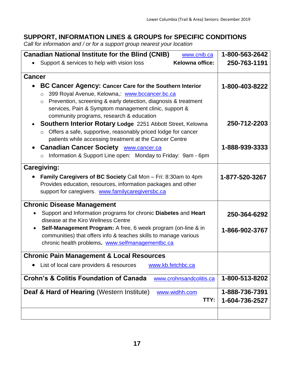| <b>Canadian National Institute for the Blind (CNIB)</b><br>www.cnib.ca                                    | 1-800-563-2642 |
|-----------------------------------------------------------------------------------------------------------|----------------|
| Kelowna office:<br>Support & services to help with vision loss                                            | 250-763-1191   |
| <b>Cancer</b>                                                                                             |                |
|                                                                                                           |                |
| BC Cancer Agency: Cancer Care for the Southern Interior<br>399 Royal Avenue, Kelowna,: www.bccancer.bc.ca | 1-800-403-8222 |
| $\circ$<br>Prevention, screening & early detection, diagnosis & treatment<br>$\circ$                      |                |
| services, Pain & Symptom management clinic, support &                                                     |                |
| community programs, research & education                                                                  |                |
| <b>Southern Interior Rotary Lodge 2251 Abbott Street, Kelowna</b>                                         | 250-712-2203   |
| Offers a safe, supportive, reasonably priced lodge for cancer                                             |                |
| patients while accessing treatment at the Cancer Centre                                                   |                |
| <b>Canadian Cancer Society WWW.cancer.ca</b><br>$\bullet$                                                 | 1-888-939-3333 |
| Information & Support Line open: Monday to Friday: 9am - 6pm<br>$\circ$                                   |                |
| <b>Caregiving:</b>                                                                                        |                |
| Family Caregivers of BC Society Call Mon - Fri: 8:30am to 4pm                                             | 1-877-520-3267 |
| Provides education, resources, information packages and other                                             |                |
| support for caregivers. www.familycaregiversbc.ca                                                         |                |
| <b>Chronic Disease Management</b>                                                                         |                |
| Support and Information programs for chronic Diabetes and Heart                                           | 250-364-6292   |
| disease at the Kiro Wellness Centre                                                                       |                |
| <b>Self-Management Program:</b> A free, 6 week program (on-line & in                                      | 1-866-902-3767 |
| communities) that offers info & teaches skills to manage various                                          |                |
| chronic health problems. www.selfmanagementbc.ca                                                          |                |
| <b>Chronic Pain Management &amp; Local Resources</b>                                                      |                |
| List of local care providers & resources<br>www.kb.fetchbc.ca                                             |                |
| <b>Crohn's &amp; Colitis Foundation of Canada</b><br>www.crohnsandcolitis.ca                              | 1-800-513-8202 |
| <b>Deaf &amp; Hard of Hearing (Western Institute)</b><br>www.widhh.com                                    | 1-888-736-7391 |
| TTY:                                                                                                      | 1-604-736-2527 |
|                                                                                                           |                |
|                                                                                                           |                |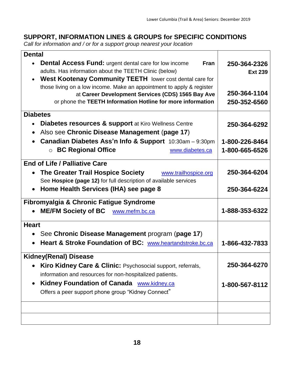| <b>Dental</b>                                                                                                    |                |
|------------------------------------------------------------------------------------------------------------------|----------------|
| <b>Dental Access Fund:</b> urgent dental care for low income<br><b>Fran</b>                                      | 250-364-2326   |
| adults. Has information about the TEETH Clinic (below)                                                           | <b>Ext 239</b> |
| West Kootenay Community TEETH lower cost dental care for<br>$\bullet$                                            |                |
| those living on a low income. Make an appointment to apply & register                                            | 250-364-1104   |
| at Career Development Services (CDS) 1565 Bay Ave<br>or phone the TEETH Information Hotline for more information | 250-352-6560   |
|                                                                                                                  |                |
| <b>Diabetes</b>                                                                                                  |                |
| <b>Diabetes resources &amp; support</b> at Kiro Wellness Centre                                                  | 250-364-6292   |
| Also see Chronic Disease Management (page 17)<br>$\bullet$                                                       |                |
| Canadian Diabetes Ass'n Info & Support 10:30am - 9:30pm                                                          | 1-800-226-8464 |
| <b>BC Regional Office</b><br>www.diabetes.ca<br>$\bigcirc$                                                       | 1-800-665-6526 |
| <b>End of Life / Palliative Care</b>                                                                             |                |
| The Greater Trail Hospice Society<br>www.trailhospice.org                                                        | 250-364-6204   |
| See Hospice (page 12) for full description of available services                                                 |                |
| Home Health Services (IHA) see page 8<br>$\bullet$                                                               | 250-364-6224   |
| Fibromyalgia & Chronic Fatigue Syndrome                                                                          |                |
| <b>ME/FM Society of BC</b><br>www.mefm.bc.ca                                                                     | 1-888-353-6322 |
| <b>Heart</b>                                                                                                     |                |
| See Chronic Disease Management program (page 17)                                                                 |                |
| Heart & Stroke Foundation of BC: www.heartandstroke.bc.ca                                                        | 1-866-432-7833 |
| <b>Kidney(Renal) Disease</b>                                                                                     |                |
| <b>Kiro Kidney Care &amp; Clinic: Psychosocial support, referrals,</b><br>$\bullet$                              | 250-364-6270   |
| information and resources for non-hospitalized patients.                                                         |                |
| Kidney Foundation of Canada www.kidney.ca                                                                        | 1-800-567-8112 |
| Offers a peer support phone group "Kidney Connect"                                                               |                |
|                                                                                                                  |                |
|                                                                                                                  |                |
|                                                                                                                  |                |
|                                                                                                                  |                |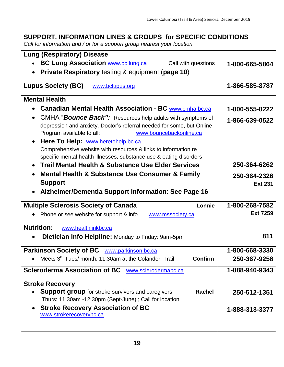| <b>Lung (Respiratory) Disease</b>                                                                                                    |                 |
|--------------------------------------------------------------------------------------------------------------------------------------|-----------------|
| <b>BC Lung Association www.bc.lung.ca</b><br>Call with questions<br>$\bullet$                                                        | 1-800-665-5864  |
| <b>Private Respiratory testing &amp; equipment (page 10)</b>                                                                         |                 |
| <b>Lupus Society (BC)</b><br>www.bclupus.org                                                                                         | 1-866-585-8787  |
|                                                                                                                                      |                 |
| <b>Mental Health</b>                                                                                                                 |                 |
| <b>Canadian Mental Health Association - BC www.cmha.bc.ca</b>                                                                        | 1-800-555-8222  |
| CMHA "Bounce Back": Resources help adults with symptoms of                                                                           | 1-866-639-0522  |
| depression and anxiety. Doctor's referral needed for some, but Online                                                                |                 |
| Program available to all:<br>www.bouncebackonline.ca                                                                                 |                 |
| Here To Help: www.heretohelp.bc.ca<br>$\bullet$                                                                                      |                 |
| Comprehensive website with resources & links to information re<br>specific mental health illnesses, substance use & eating disorders |                 |
| <b>Trail Mental Health &amp; Substance Use Elder Services</b><br>$\bullet$                                                           | 250-364-6262    |
| <b>Mental Health &amp; Substance Use Consumer &amp; Family</b><br>$\bullet$                                                          | 250-364-2326    |
| <b>Support</b>                                                                                                                       | <b>Ext 231</b>  |
|                                                                                                                                      |                 |
| Alzheimer/Dementia Support Information: See Page 16                                                                                  |                 |
|                                                                                                                                      |                 |
| <b>Multiple Sclerosis Society of Canada</b><br>Lonnie                                                                                | 1-800-268-7582  |
| Phone or see website for support & info<br>www.mssociety.ca                                                                          | <b>Ext 7259</b> |
| <b>Nutrition:</b><br>www.healthlinkbc.ca                                                                                             |                 |
| <b>Dietician Info Helpline: Monday to Friday: 9am-5pm</b>                                                                            | 811             |
|                                                                                                                                      |                 |
| Parkinson Society of BC www.parkinson.bc.ca                                                                                          | 1-800-668-3330  |
| Meets 3 <sup>rd</sup> Tues/ month: 11:30am at the Colander, Trail<br><b>Confirm</b>                                                  | 250-367-9258    |
| <b>Scleroderma Association of BC</b><br>www.sclerodermabc.ca                                                                         | 1-888-940-9343  |
|                                                                                                                                      |                 |
| <b>Stroke Recovery</b><br><b>Support group</b> for stroke survivors and caregivers<br><b>Rachel</b>                                  | 250-512-1351    |
| Thurs: 11:30am -12:30pm (Sept-June) ; Call for location                                                                              |                 |
| <b>Stroke Recovery Association of BC</b><br>$\bullet$                                                                                | 1-888-313-3377  |
| www.strokerecoverybc.ca                                                                                                              |                 |